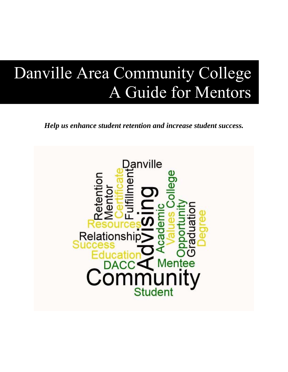# Danville Area Community College A Guide for Mentors

*Help us enhance student retention and increase student success.*

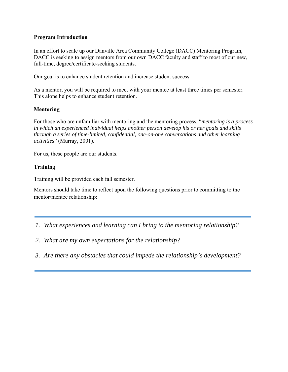#### **Program Introduction**

In an effort to scale up our Danville Area Community College (DACC) Mentoring Program, DACC is seeking to assign mentors from our own DACC faculty and staff to most of our new, full-time, degree/certificate-seeking students.

Our goal is to enhance student retention and increase student success.

As a mentor, you will be required to meet with your mentee at least three times per semester. This alone helps to enhance student retention.

## **Mentoring**

For those who are unfamiliar with mentoring and the mentoring process, "*mentoring is a process in which an experienced individual helps another person develop his or her goals and skills through a series of time-limited, confidential, one-on-one conversations and other learning activities*" (Murray, 2001).

For us, these people are our students.

## **Training**

Training will be provided each fall semester.

Mentors should take time to reflect upon the following questions prior to committing to the mentor/mentee relationship:

- *1. What experiences and learning can I bring to the mentoring relationship?*
- *2. What are my own expectations for the relationship?*
- *3. Are there any obstacles that could impede the relationship's development?*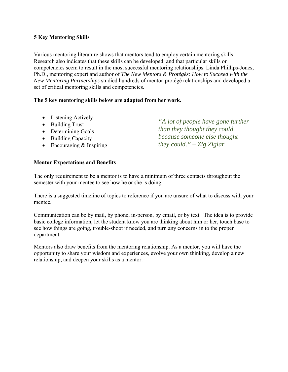## **5 Key Mentoring Skills**

Various mentoring literature shows that mentors tend to employ certain mentoring skills. Research also indicates that these skills can be developed, and that particular skills or competencies seem to result in the most successful mentoring relationships. Linda Phillips-Jones, Ph.D., mentoring expert and author of *The New Mentors & Protégés: How to Succeed with the New Mentoring Partnerships* studied hundreds of mentor-protégé relationships and developed a set of critical mentoring skills and competencies.

## **The 5 key mentoring skills below are adapted from her work.**

- Listening Actively
- Building Trust
- Determining Goals
- Building Capacity
- $\bullet$  Encouraging & Inspiring

*"A lot of people have gone further than they thought they could because someone else thought they could." – Zig Ziglar* 

## **Mentor Expectations and Benefits**

The only requirement to be a mentor is to have a minimum of three contacts throughout the semester with your mentee to see how he or she is doing.

There is a suggested timeline of topics to reference if you are unsure of what to discuss with your mentee.

Communication can be by mail, by phone, in-person, by email, or by text. The idea is to provide basic college information, let the student know you are thinking about him or her, touch base to see how things are going, trouble-shoot if needed, and turn any concerns in to the proper department.

Mentors also draw benefits from the mentoring relationship. As a mentor, you will have the opportunity to share your wisdom and experiences, evolve your own thinking, develop a new relationship, and deepen your skills as a mentor.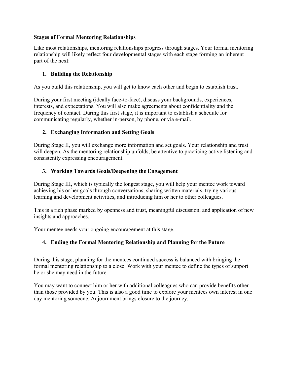## **Stages of Formal Mentoring Relationships**

Like most relationships, mentoring relationships progress through stages. Your formal mentoring relationship will likely reflect four developmental stages with each stage forming an inherent part of the next:

## **1. Building the Relationship**

As you build this relationship, you will get to know each other and begin to establish trust.

During your first meeting (ideally face-to-face), discuss your backgrounds, experiences, interests, and expectations. You will also make agreements about confidentiality and the frequency of contact. During this first stage, it is important to establish a schedule for communicating regularly, whether in-person, by phone, or via e-mail.

## **2. Exchanging Information and Setting Goals**

During Stage II, you will exchange more information and set goals. Your relationship and trust will deepen. As the mentoring relationship unfolds, be attentive to practicing active listening and consistently expressing encouragement.

## **3. Working Towards Goals/Deepening the Engagement**

During Stage III, which is typically the longest stage, you will help your mentee work toward achieving his or her goals through conversations, sharing written materials, trying various learning and development activities, and introducing him or her to other colleagues.

This is a rich phase marked by openness and trust, meaningful discussion, and application of new insights and approaches.

Your mentee needs your ongoing encouragement at this stage.

# **4. Ending the Formal Mentoring Relationship and Planning for the Future**

During this stage, planning for the mentees continued success is balanced with bringing the formal mentoring relationship to a close. Work with your mentee to define the types of support he or she may need in the future.

You may want to connect him or her with additional colleagues who can provide benefits other than those provided by you. This is also a good time to explore your mentees own interest in one day mentoring someone. Adjournment brings closure to the journey.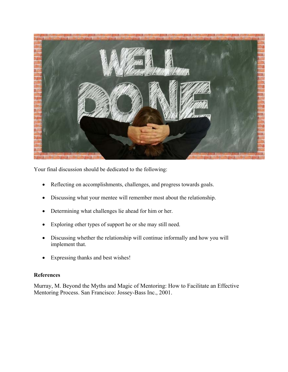

Your final discussion should be dedicated to the following:

- Reflecting on accomplishments, challenges, and progress towards goals.
- Discussing what your mentee will remember most about the relationship.
- Determining what challenges lie ahead for him or her.
- Exploring other types of support he or she may still need.
- Discussing whether the relationship will continue informally and how you will implement that.
- Expressing thanks and best wishes!

## **References**

Murray, M. Beyond the Myths and Magic of Mentoring: How to Facilitate an Effective Mentoring Process. San Francisco: Jossey-Bass Inc., 2001.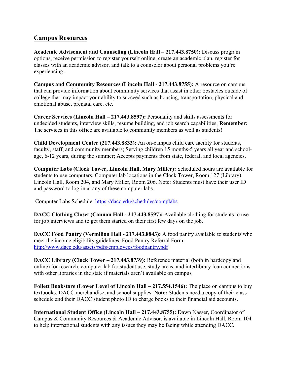# **Campus Resources**

**Academic Advisement and Counseling (Lincoln Hall – 217.443.8750):** Discuss program options, receive permission to register yourself online, create an academic plan, register for classes with an academic advisor, and talk to a counselor about personal problems you're experiencing.

**Campus and Community Resources (Lincoln Hall - 217.443.8755):** A resource on campus that can provide information about community services that assist in other obstacles outside of college that may impact your ability to succeed such as housing, transportation, physical and emotional abuse, prenatal care. etc.

**Career Services (Lincoln Hall – 217.443.8597):** Personality and skills assessments for undecided students, interview skills, resume building, and job search capabilities; **Remember:**  The services in this office are available to community members as well as students!

**Child Development Center (217.443.8833):** An on-campus child care facility for students, faculty, staff, and community members; Serving children 15 months-5 years all year and schoolage, 6-12 years, during the summer; Accepts payments from state, federal, and local agencies.

**Computer Labs (Clock Tower, Lincoln Hall, Mary Miller):** Scheduled hours are available for students to use computers. Computer lab locations in the Clock Tower, Room 127 (Library), Lincoln Hall, Room 204, and Mary Miller, Room 206. Note: Students must have their user ID and password to log-in at any of these computer labs.

Computer Labs Schedule: https://dacc.edu/schedules/complabs

**DACC Clothing Closet (Cannon Hall - 217.443.8597):** Available clothing for students to use for job interviews and to get them started on their first few days on the job.

**DACC Food Pantry (Vermilion Hall - 217.443.8843):** A food pantry available to students who meet the income eligibility guidelines. Food Pantry Referral Form: http://www.dacc.edu/assets/pdfs/employees/foodpantry.pdf

**DACC Library (Clock Tower – 217.443.8739):** Reference material (both in hardcopy and online) for research, computer lab for student use, study areas, and interlibrary loan connections with other libraries in the state if materials aren't available on campus

**Follett Bookstore (Lower Level of Lincoln Hall – 217.554.1546):** The place on campus to buy textbooks, DACC merchandise, and school supplies. **Note:** Students need a copy of their class schedule and their DACC student photo ID to charge books to their financial aid accounts.

**International Student Office (Lincoln Hall – 217.443.8755):** Dawn Nasser, Coordinator of Campus & Community Resources & Academic Advisor, is available in Lincoln Hall, Room 104 to help international students with any issues they may be facing while attending DACC.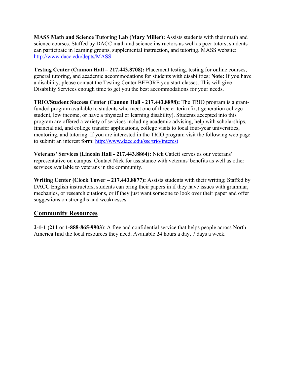**MASS Math and Science Tutoring Lab (Mary Miller):** Assists students with their math and science courses. Staffed by DACC math and science instructors as well as peer tutors, students can participate in learning groups, supplemental instruction, and tutoring. MASS website: http://www.dacc.edu/depts/MASS

**Testing Center (Cannon Hall – 217.443.8708):** Placement testing, testing for online courses, general tutoring, and academic accommodations for students with disabilities; **Note:** If you have a disability, please contact the Testing Center BEFORE you start classes. This will give Disability Services enough time to get you the best accommodations for your needs.

**TRIO/Student Success Center (Cannon Hall - 217.443.8898):** The TRIO program is a grantfunded program available to students who meet one of three criteria (first-generation college student, low income, or have a physical or learning disability). Students accepted into this program are offered a variety of services including academic advising, help with scholarships, financial aid, and college transfer applications, college visits to local four-year universities, mentoring, and tutoring. If you are interested in the TRIO program visit the following web page to submit an interest form: http://www.dacc.edu/ssc/trio/interest

**Veterans' Services (Lincoln Hall - 217.443.8864):** Nick Catlett serves as our veterans' representative on campus. Contact Nick for assistance with veterans' benefits as well as other services available to veterans in the community.

**Writing Center (Clock Tower – 217.443.8877):** Assists students with their writing; Staffed by DACC English instructors, students can bring their papers in if they have issues with grammar, mechanics, or research citations, or if they just want someone to look over their paper and offer suggestions on strengths and weaknesses.

# **Community Resources**

**2-1-1 (211** or **1-888-865-9903**): A free and confidential service that helps people across North America find the local resources they need. Available 24 hours a day, 7 days a week.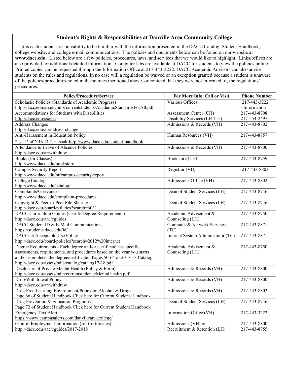#### **Student's Rights & Responsibilities at Danville Area Community College**

 It is each student's responsibility to be familiar with the information presented in the DACC Catalog, Student Handbook, college website, and college e-mail communications. The policies and documents below can be found on our website at **www.dacc.edu**. Listed below are a few policies, procedures, laws, and services that we would like to highlight. Links/offices are also provided for additional/detailed information. Computer labs are available at DACC for students to view the policies online. Printed copies can be requested through the Information Office at 217-443-3222. DACC Academic Advisors can also advise students on the rules and regulations. In no case will a regulation be waived or an exception granted because a student is unaware of the policies/procedures noted in the sources mentioned above, or contend that they were not informed of, the regulations/ procedures.

| Policy/Procedure/Service                                                | For More Info, Call or Visit       | <b>Phone Number</b> |
|-------------------------------------------------------------------------|------------------------------------|---------------------|
| Scholastic Policies (Standards of Academic Progress)                    | Various Offices                    | 217-443-3222        |
| http://dacc.edu/assets/pdfs/currentstudents/AcademicStandardsForAll.pdf |                                    | =Information        |
| Accommodations for Students with Disabilities                           | Assessment Center (CH)             | 217-443-8708        |
| http://dacc.edu/ssc/oa                                                  | Disability Services (LH-115)       | 217-554-2497        |
| <b>Address Changes</b>                                                  | Admissions & Records (VH)          | 217-443-8802        |
| http://dacc.edu/ar/address-change                                       |                                    |                     |
| Anti-Harassment in Education Policy                                     | Human Resources (VH)               | 217-443-8757        |
| Page 43 of 2016-17 Handbook-http://www.dacc.edu/student-handbook        |                                    |                     |
| Attendance & Leave of Absence Policies                                  | Admissions & Records (VH)          | 217-443-8800        |
| http://dacc.edu/ar/withdraw                                             |                                    |                     |
| <b>Books</b> (for Classes)                                              | Bookstore (LH)                     | 217-443-8759        |
| http://www.dacc.edu/bookstore                                           |                                    |                     |
| <b>Campus Security Report</b>                                           | Registrar (VH)                     | 217-443-8803        |
| http://www.dacc.edu/hr/campus-security-report                           |                                    |                     |
| College Catalog                                                         | Admissions Office (VH)             | 217-443-8802        |
| http://www.dacc.edu/catalog/                                            |                                    |                     |
| <b>Complaints/Grievances</b>                                            | Dean of Student Services (LH)      | 217-443-8746        |
| http://www.dacc.edu/complaint-procedures                                |                                    |                     |
| Copyright & Peer-to-Peer File Sharing                                   | Dean of Student Services (LH)      | 217-443-8746        |
| http://dacc.edu/board/policies?search=6031                              |                                    |                     |
| DACC Curriculum Guides (Cert & Degree Requirements)                     | Academic Advisement &              | 217-443-8750        |
| http://dacc.edu/aac/cguides                                             | Counseling (LH)                    |                     |
| DACC Student ID & E-Mail Communications                                 | Computer & Network Services        | 217-443-8871        |
| https://students.dacc.edu/id/                                           | (TC)                               |                     |
| <b>DACCnet Acceptable Use Policy</b>                                    | Internet System Administrator (TC) | 217-443-8871        |
| http://dacc.edu/board/policies?search=2012%20internet                   |                                    |                     |
| Degree Requirements - Each degree and/or certificate has specific       | Academic Advisement &              | 217-443-8750        |
| assessments, requirements, and procedures based on the year you starts  | Counseling (LH)                    |                     |
| and/or completes the degree/certificate. Pages 50-64 of 2017-18 Catalog |                                    |                     |
| http://dacc.edu/assets/pdfs/catalog/catalog17-18.pdf                    |                                    |                     |
| Disclosure of Private Mental Health (Policy & Form)                     | Admissions & Records (VH)          | 217-443-8800        |
| http://dacc.edu/assets/pdfs/currentstudents/MentalHealth.pdf            |                                    |                     |
| Drop/Withdrawal Policy                                                  | Admissions & Records (VH)          | 217-443-8800        |
| http://dacc.edu/ar/withdraw                                             |                                    |                     |
| Drug Free Learning Environment/Policy on Alcohol & Drugs                | Admissions & Records (VH)          | 217-443-8802        |
| Page 66 of Student Handbook Click here for Current Student Handbook     |                                    |                     |
| Drug Prevention & Education Programs                                    | Dean of Student Services (LH)      | 217-443-8746        |
| Page 72 of Student Handbook Click here for Current Student Handbook     |                                    |                     |
| <b>Emergency Text Alert</b>                                             | Information Office (VH)            | 217-443-3222        |
| https://www.campusalerts.com/danvilleareacollege/                       |                                    |                     |
| Gainful Employment Information (for Certificates)                       | Admissions (VH) or                 | 217-443-8800        |
| http://dacc.edu/aac/cguides/2017-2018                                   | Recruitment & Retention (LH)       | 217-443-8755        |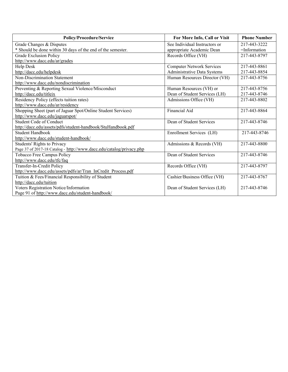| Policy/Procedure/Service                                             | For More Info, Call or Visit     | <b>Phone Number</b> |
|----------------------------------------------------------------------|----------------------------------|---------------------|
| Grade Changes & Disputes                                             | See Individual Instructors or    | 217-443-3222        |
| * Should be done within 30 days of the end of the semester.          | appropriate Academic Dean        | =Information        |
| Grade Exclusion Policy                                               | Records Office (VH)              | 217-443-8797        |
| http://www.dacc.edu/ar/grades                                        |                                  |                     |
| Help Desk                                                            | <b>Computer Network Services</b> | 217-443-8861        |
| http://dacc.edu/helpdesk                                             | Administrative Data Systems      | 217-443-8854        |
| <b>Non-Discrimination Statement</b>                                  | Human Resources Director (VH)    | 217-443-8756        |
| http://www.dacc.edu/nondiscrimination                                |                                  |                     |
| Preventing & Reporting Sexual Violence/Misconduct                    | Human Resources (VH) or          | 217-443-8756        |
| http://dacc.edu/titleix                                              | Dean of Student Services (LH)    | 217-443-8746        |
| Residency Policy (effects tuition rates)                             | Admissions Office (VH)           | 217-443-8802        |
| http://www.dacc.edu/ar/residency                                     |                                  |                     |
| Shopping Sheet (part of Jaguar Spot/Online Student Services)         | Financial Aid                    | 217-443-8864        |
| http://www.dacc.edu/jaguarspot/                                      |                                  |                     |
| Student Code of Conduct                                              | Dean of Student Services         | 217-443-8746        |
| http://dacc.edu/assets/pdfs/student-handbook/StuHandbook.pdf         |                                  |                     |
| Student Handbook                                                     | Enrollment Services (LH)         | 217-443-8746        |
| http://www.dacc.edu/student-handbook/                                |                                  |                     |
| Students' Rights to Privacy                                          | Admissions & Records (VH)        | 217-443-8800        |
| Page 37 of 2017-18 Catalog - http://www.dacc.edu/catalog/privacy.php |                                  |                     |
| Tobacco Free Campus Policy                                           | Dean of Student Services         | 217-443-8746        |
| http://www.dacc.edu/tfc/faq                                          |                                  |                     |
| Transfer-In-Credit Policy                                            | Records Office (VH)              | 217-443-8797        |
| http://www.dacc.edu/assets/pdfs/ar/Tran InCredit Process.pdf         |                                  |                     |
| Tuition & Fees/Financial Responsibility of Student                   | Cashier/Business Office (VH)     | 217-443-8767        |
| http://dacc.edu/tuition                                              |                                  |                     |
| Voters Registration Notice/Information                               | Dean of Student Services (LH)    | 217-443-8746        |
| Page 91 of http://www.dacc.edu/student-handbook/                     |                                  |                     |